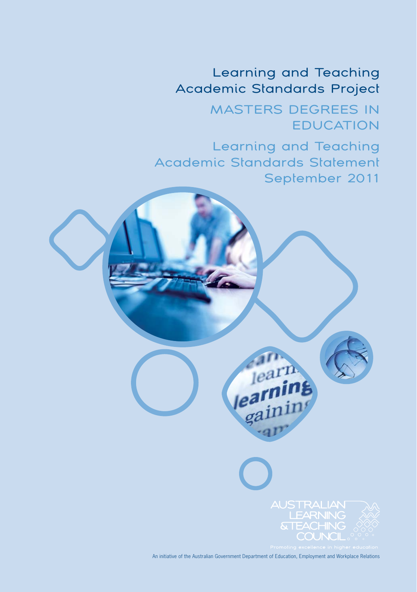## Learning and Teaching Academic Standards Project

 MASTERS DEGREES IN EDUCATION

Learning and Teaching Academic Standards Statement September 2011

> **&TEACHING** COUNCIL

An initiative of the Australian Government Department of Education, Employment and Workplace Relations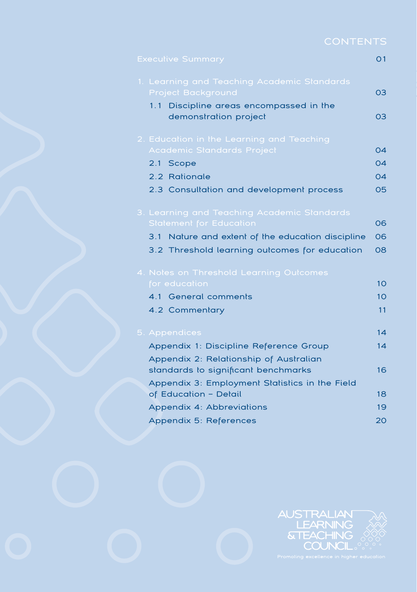| <b>CONTENTS</b> |  |  |  |
|-----------------|--|--|--|
|                 |  |  |  |

| <b>Executive Summary</b>                             | O <sub>1</sub>  |
|------------------------------------------------------|-----------------|
| 1. Learning and Teaching Academic Standards          |                 |
| <b>Project Background</b>                            | 03              |
| 1.1 Discipline areas encompassed in the              |                 |
| demonstration project                                | 03              |
| 2. Education in the Learning and Teaching            |                 |
| Academic Standards Project                           | $\Omega$ 4      |
| 2.1<br>Scope                                         | 04              |
| 2.2 Rationale                                        | 04              |
| 2.3 Consultation and development process             | 05              |
| 3. Learning and Teaching Academic Standards          |                 |
| <b>Statement for Education</b>                       | 06              |
| Nature and extent of the education discipline<br>3.1 | 06              |
| 3.2 Threshold learning outcomes for education        | 08              |
| 4. Notes on Threshold Learning Outcomes              |                 |
| for education                                        | 10              |
| 4.1 General comments                                 | 10 <sup>°</sup> |
| 4.2 Commentary                                       | 11              |
|                                                      |                 |
| 5. Appendices                                        | 14              |
| Appendix 1: Discipline Reference Group               | 14              |
| Appendix 2: Relationship of Australian               |                 |
| standards to significant benchmarks                  | 16              |
| Appendix 3: Employment Statistics in the Field       |                 |
| of Education - Detail                                | 18              |
| Appendix 4: Abbreviations                            | 19              |
| Appendix 5: References                               | 20              |

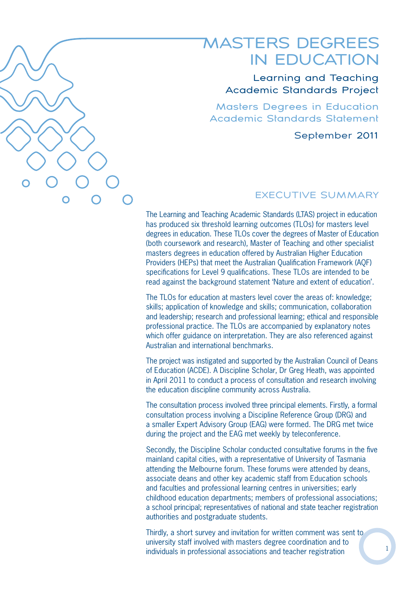

## MASTERS DEGREES IN EDUCATION

Learning and Teaching Academic Standards Project

Masters Degrees in Education Academic Standards Statement

September 2011

## EXECUTIVE SUMMARY

The Learning and Teaching Academic Standards (LTAS) project in education has produced six threshold learning outcomes (TLOs) for masters level degrees in education. These TLOs cover the degrees of Master of Education (both coursework and research), Master of Teaching and other specialist masters degrees in education offered by Australian Higher Education Providers (HEPs) that meet the Australian Qualification Framework (AQF) specifications for Level 9 qualifications. These TLOs are intended to be read against the background statement 'Nature and extent of education'.

The TLOs for education at masters level cover the areas of: knowledge; skills; application of knowledge and skills; communication, collaboration and leadership; research and professional learning; ethical and responsible professional practice. The TLOs are accompanied by explanatory notes which offer guidance on interpretation. They are also referenced against Australian and international benchmarks.

The project was instigated and supported by the Australian Council of Deans of Education (ACDE). A Discipline Scholar, Dr Greg Heath, was appointed in April 2011 to conduct a process of consultation and research involving the education discipline community across Australia.

The consultation process involved three principal elements. Firstly, a formal consultation process involving a Discipline Reference Group (DRG) and a smaller Expert Advisory Group (EAG) were formed. The DRG met twice during the project and the EAG met weekly by teleconference.

Secondly, the Discipline Scholar conducted consultative forums in the five mainland capital cities, with a representative of University of Tasmania attending the Melbourne forum. These forums were attended by deans, associate deans and other key academic staff from Education schools and faculties and professional learning centres in universities; early childhood education departments; members of professional associations; a school principal; representatives of national and state teacher registration authorities and postgraduate students.

Thirdly, a short survey and invitation for written comment was sent to university staff involved with masters degree coordination and to individuals in professional associations and teacher registration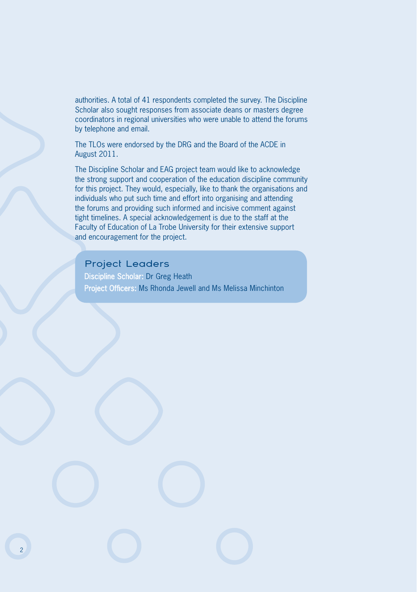authorities. A total of 41 respondents completed the survey. The Discipline Scholar also sought responses from associate deans or masters degree coordinators in regional universities who were unable to attend the forums by telephone and email.

The TLOs were endorsed by the DRG and the Board of the ACDE in August 2011.

The Discipline Scholar and EAG project team would like to acknowledge the strong support and cooperation of the education discipline community for this project. They would, especially, like to thank the organisations and individuals who put such time and effort into organising and attending the forums and providing such informed and incisive comment against tight timelines. A special acknowledgement is due to the staff at the Faculty of Education of La Trobe University for their extensive support and encouragement for the project.

## Project Leaders

Discipline Scholar: Dr Greg Heath Project Officers: Ms Rhonda Jewell and Ms Melissa Minchinton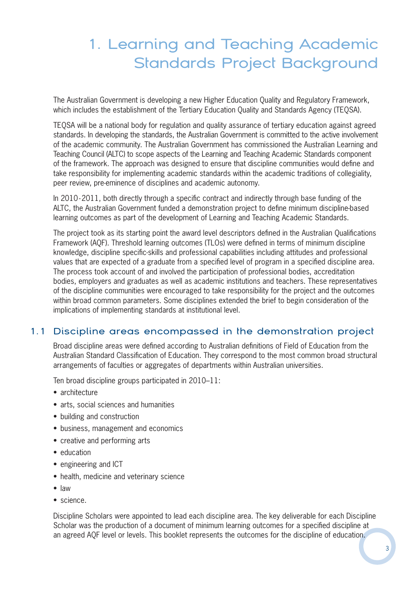# 1. Learning and Teaching Academic Standards Project Background

The Australian Government is developing a new Higher Education Quality and Regulatory Framework, which includes the establishment of the Tertiary Education Quality and Standards Agency (TEQSA).

TEQSA will be a national body for regulation and quality assurance of tertiary education against agreed standards. In developing the standards, the Australian Government is committed to the active involvement of the academic community. The Australian Government has commissioned the Australian Learning and Teaching Council (ALTC) to scope aspects of the Learning and Teaching Academic Standards component of the framework. The approach was designed to ensure that discipline communities would define and take responsibility for implementing academic standards within the academic traditions of collegiality, peer review, pre-eminence of disciplines and academic autonomy.

In 2010 -2011, both directly through a specific contract and indirectly through base funding of the ALTC, the Australian Government funded a demonstration project to define minimum discipline-based learning outcomes as part of the development of Learning and Teaching Academic Standards.

The project took as its starting point the award level descriptors defined in the Australian Qualifications Framework (AQF). Threshold learning outcomes (TLOs) were defined in terms of minimum discipline knowledge, discipline specific-skills and professional capabilities including attitudes and professional values that are expected of a graduate from a specified level of program in a specified discipline area. The process took account of and involved the participation of professional bodies, accreditation bodies, employers and graduates as well as academic institutions and teachers. These representatives of the discipline communities were encouraged to take responsibility for the project and the outcomes within broad common parameters. Some disciplines extended the brief to begin consideration of the implications of implementing standards at institutional level.

## 1.1 Discipline areas encompassed in the demonstration project

Broad discipline areas were defined according to Australian definitions of Field of Education from the Australian Standard Classification of Education. They correspond to the most common broad structural arrangements of faculties or aggregates of departments within Australian universities.

Ten broad discipline groups participated in 2010–11:

- architecture
- arts, social sciences and humanities
- building and construction
- business, management and economics
- creative and performing arts
- education
- engineering and ICT
- health, medicine and veterinary science
- law
- science.

Discipline Scholars were appointed to lead each discipline area. The key deliverable for each Discipline Scholar was the production of a document of minimum learning outcomes for a specified discipline at an agreed AQF level or levels. This booklet represents the outcomes for the discipline of education.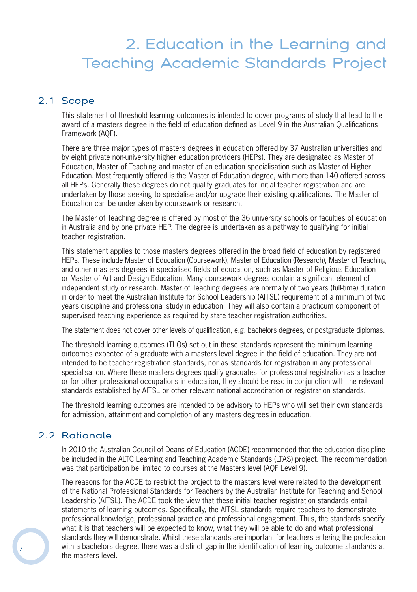# 2. Education in the Learning and Teaching Academic Standards Project

### 2.1 Scope

This statement of threshold learning outcomes is intended to cover programs of study that lead to the award of a masters degree in the field of education defined as Level 9 in the Australian Qualifications Framework (AQF).

There are three major types of masters degrees in education offered by 37 Australian universities and by eight private non-university higher education providers (HEPs). They are designated as Master of Education, Master of Teaching and master of an education specialisation such as Master of Higher Education. Most frequently offered is the Master of Education degree, with more than 140 offered across all HEPs. Generally these degrees do not qualify graduates for initial teacher registration and are undertaken by those seeking to specialise and/or upgrade their existing qualifications. The Master of Education can be undertaken by coursework or research.

The Master of Teaching degree is offered by most of the 36 university schools or faculties of education in Australia and by one private HEP. The degree is undertaken as a pathway to qualifying for initial teacher registration.

This statement applies to those masters degrees offered in the broad field of education by registered HEPs. These include Master of Education (Coursework), Master of Education (Research), Master of Teaching and other masters degrees in specialised fields of education, such as Master of Religious Education or Master of Art and Design Education. Many coursework degrees contain a significant element of independent study or research. Master of Teaching degrees are normally of two years (full-time) duration in order to meet the Australian Institute for School Leadership (AITSL) requirement of a minimum of two years discipline and professional study in education. They will also contain a practicum component of supervised teaching experience as required by state teacher registration authorities.

The statement does not cover other levels of qualification, e.g. bachelors degrees, or postgraduate diplomas.

The threshold learning outcomes (TLOs) set out in these standards represent the minimum learning outcomes expected of a graduate with a masters level degree in the field of education. They are not intended to be teacher registration standards, nor as standards for registration in any professional specialisation. Where these masters degrees qualify graduates for professional registration as a teacher or for other professional occupations in education, they should be read in conjunction with the relevant standards established by AITSL or other relevant national accreditation or registration standards.

The threshold learning outcomes are intended to be advisory to HEPs who will set their own standards for admission, attainment and completion of any masters degrees in education.

## 2.2 Rationale

In 2010 the Australian Council of Deans of Education (ACDE) recommended that the education discipline be included in the ALTC Learning and Teaching Academic Standards (LTAS) project. The recommendation was that participation be limited to courses at the Masters level (AQF Level 9).

The reasons for the ACDE to restrict the project to the masters level were related to the development of the National Professional Standards for Teachers by the Australian Institute for Teaching and School Leadership (AITSL). The ACDE took the view that these initial teacher registration standards entail statements of learning outcomes. Specifically, the AITSL standards require teachers to demonstrate professional knowledge, professional practice and professional engagement. Thus, the standards specify what it is that teachers will be expected to know, what they will be able to do and what professional standards they will demonstrate. Whilst these standards are important for teachers entering the profession with a bachelors degree, there was a distinct gap in the identification of learning outcome standards at the masters level.

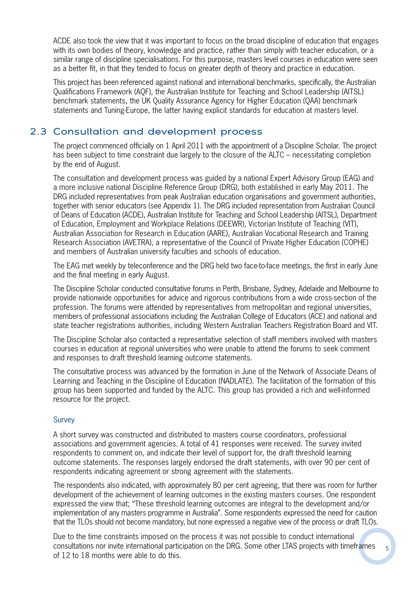ACDE also took the view that it was important to focus on the broad discipline of education that engages with its own bodies of theory, knowledge and practice, rather than simply with teacher education, or a similar range of discipline specialisations. For this purpose, masters level courses in education were seen as a better fit, in that they tended to focus on greater depth of theory and practice in education.

This project has been referenced against national and international benchmarks, specifically, the Australian Qualifications Framework (AQF), the Australian Institute for Teaching and School Leadership (AITSL) benchmark statements, the UK Quality Assurance Agency for Higher Education (QAA) benchmark statements and Tuning-Europe, the latter having explicit standards for education at masters level.

## 2.3 Consultation and development process

The project commenced officially on 1 April 2011 with the appointment of a Discipline Scholar. The project has been subject to time constraint due largely to the closure of the ALTC – necessitating completion by the end of August.

The consultation and development process was guided by a national Expert Advisory Group (EAG) and a more inclusive national Discipline Reference Group (DRG), both established in early May 2011. The DRG included representatives from peak Australian education organisations and government authorities, together with senior educators (see Appendix 1). The DRG included representation from Australian Council of Deans of Education (ACDE), Australian Institute for Teaching and School Leadership (AITSL), Department of Education, Employment and Workplace Relations (DEEWR), Victorian Institute of Teaching (VIT), Australian Association for Research in Education (AARE), Australian Vocational Research and Training Research Association (AVETRA), a representative of the Council of Private Higher Education (COPHE) and members of Australian university faculties and schools of education.

The EAG met weekly by teleconference and the DRG held two face-to-face meetings, the first in early June and the final meeting in early August.

The Discipline Scholar conducted consultative forums in Perth, Brisbane, Sydney, Adelaide and Melbourne to provide nationwide opportunities for advice and rigorous contributions from a wide cross-section of the profession. The forums were attended by representatives from metropolitan and regional universities, members of professional associations including the Australian College of Educators (ACE) and national and state teacher registrations authorities, including Western Australian Teachers Registration Board and VIT.

The Discipline Scholar also contacted a representative selection of staff members involved with masters courses in education at regional universities who were unable to attend the forums to seek comment and responses to draft threshold learning outcome statements.

The consultative process was advanced by the formation in June of the Network of Associate Deans of Learning and Teaching in the Discipline of Education (NADLATE). The facilitation of the formation of this group has been supported and funded by the ALTC. This group has provided a rich and well-informed resource for the project.

#### Survey

A short survey was constructed and distributed to masters course coordinators, professional associations and government agencies. A total of 41 responses were received. The survey invited respondents to comment on, and indicate their level of support for, the draft threshold learning outcome statements. The responses largely endorsed the draft statements, with over 90 per cent of respondents indicating agreement or strong agreement with the statements.

The respondents also indicated, with approximately 80 per cent agreeing, that there was room for further development of the achievement of learning outcomes in the existing masters courses. One respondent expressed the view that; "These threshold learning outcomes are integral to the development and/or implementation of any masters programme in Australia". Some respondents expressed the need for caution that the TLOs should not become mandatory, but none expressed a negative view of the process or draft TLOs.

Due to the time constraints imposed on the process it was not possible to conduct international consultations nor invite international participation on the DRG. Some other LTAS projects with timeframes of 12 to 18 months were able to do this.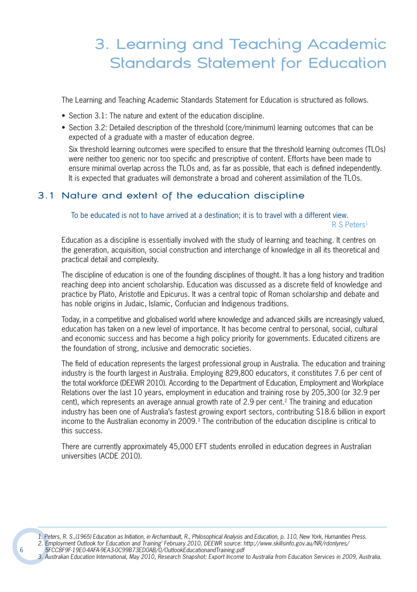# 3. Learning and Teaching Academic Standards Statement for Education

The Learning and Teaching Academic Standards Statement for Education is structured as follows.

- Section 3.1: The nature and extent of the education discipline.
- Section 3.2: Detailed description of the threshold (core/minimum) learning outcomes that can be expected of a graduate with a master of education degree.

Six threshold learning outcomes were specified to ensure that the threshold learning outcomes (TLOs) were neither too generic nor too specific and prescriptive of content. Efforts have been made to ensure minimal overlap across the TLOs and, as far as possible, that each is defined independently. It is expected that graduates will demonstrate a broad and coherent assimilation of the TLOs.

### 3.1 Nature and extent of the education discipline

To be educated is not to have arrived at a destination; it is to travel with a different view.

R S Peters<sup>1</sup>

Education as a discipline is essentially involved with the study of learning and teaching. It centres on the generation, acquisition, social construction and interchange of knowledge in all its theoretical and practical detail and complexity.

The discipline of education is one of the founding disciplines of thought. It has a long history and tradition reaching deep into ancient scholarship. Education was discussed as a discrete field of knowledge and practice by Plato, Aristotle and Epicurus. It was a central topic of Roman scholarship and debate and has noble origins in Judaic, Islamic, Confucian and Indigenous traditions.

Today, in a competitive and globalised world where knowledge and advanced skills are increasingly valued, education has taken on a new level of importance. It has become central to personal, social, cultural and economic success and has become a high policy priority for governments. Educated citizens are the foundation of strong, inclusive and democratic societies.

The field of education represents the largest professional group in Australia. The education and training industry is the fourth largest in Australia. Employing 829,800 educators, it constitutes 7.6 per cent of the total workforce (DEEWR 2010). According to the Department of Education, Employment and Workplace Relations over the last 10 years, employment in education and training rose by 205,300 (or 32.9 per cent), which represents an average annual growth rate of 2.9 per cent.<sup>2</sup> The training and education industry has been one of Australia's fastest growing export sectors, contributing \$18.6 billion in export income to the Australian economy in 2009.3 The contribution of the education discipline is critical to this success.

There are currently approximately 45,000 EFT students enrolled in education degrees in Australian universities (ACDE 2010).

3. Australian Education International, May 2010, Research Snapshot: Export Income to Australia from Education Services in 2009, Australia.

<sup>1.</sup> Peters, R. S.,(1965) Education as Initiation, in Archambault, R., Philosophical Analysis and Education, p. 110, New York, Humanities Press. 2. Employment Outlook for Education and Training' February 2010, DEEWR source: http://www.skillsinfo.gov.au/NR/rdonlyres/ 5FCC8F9F-19E0-4AFA-9EA3-0C99B73ED0AB/0/OutlookEducationandTraining.pdf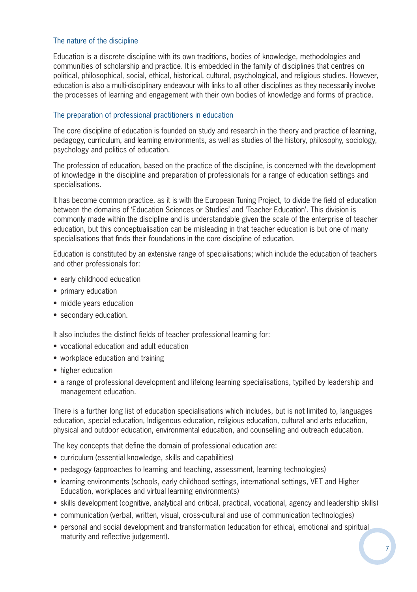#### The nature of the discipline

Education is a discrete discipline with its own traditions, bodies of knowledge, methodologies and communities of scholarship and practice. It is embedded in the family of disciplines that centres on political, philosophical, social, ethical, historical, cultural, psychological, and religious studies. However, education is also a multi-disciplinary endeavour with links to all other disciplines as they necessarily involve the processes of learning and engagement with their own bodies of knowledge and forms of practice.

#### The preparation of professional practitioners in education

The core discipline of education is founded on study and research in the theory and practice of learning, pedagogy, curriculum, and learning environments, as well as studies of the history, philosophy, sociology, psychology and politics of education.

The profession of education, based on the practice of the discipline, is concerned with the development of knowledge in the discipline and preparation of professionals for a range of education settings and specialisations.

It has become common practice, as it is with the European Tuning Project, to divide the field of education between the domains of 'Education Sciences or Studies' and 'Teacher Education'. This division is commonly made within the discipline and is understandable given the scale of the enterprise of teacher education, but this conceptualisation can be misleading in that teacher education is but one of many specialisations that finds their foundations in the core discipline of education.

Education is constituted by an extensive range of specialisations; which include the education of teachers and other professionals for:

- early childhood education
- primary education
- middle years education
- secondary education.

It also includes the distinct fields of teacher professional learning for:

- vocational education and adult education
- workplace education and training
- higher education
- a range of professional development and lifelong learning specialisations, typified by leadership and management education.

There is a further long list of education specialisations which includes, but is not limited to, languages education, special education, Indigenous education, religious education, cultural and arts education, physical and outdoor education, environmental education, and counselling and outreach education.

The key concepts that define the domain of professional education are:

- curriculum (essential knowledge, skills and capabilities)
- pedagogy (approaches to learning and teaching, assessment, learning technologies)
- learning environments (schools, early childhood settings, international settings, VET and Higher Education, workplaces and virtual learning environments)
- skills development (cognitive, analytical and critical, practical, vocational, agency and leadership skills)
- communication (verbal, written, visual, cross-cultural and use of communication technologies)
- personal and social development and transformation (education for ethical, emotional and spiritual maturity and reflective judgement).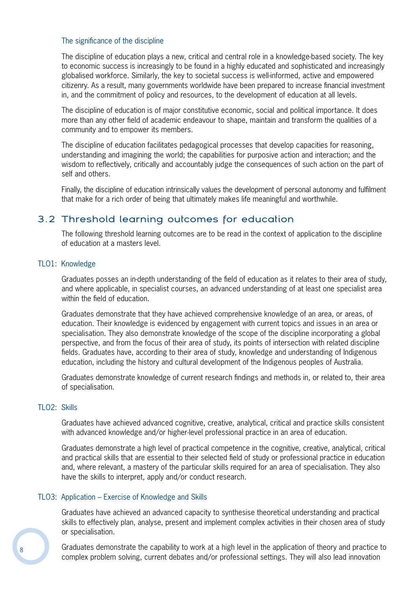#### The significance of the discipline

The discipline of education plays a new, critical and central role in a knowledge-based society. The key to economic success is increasingly to be found in a highly educated and sophisticated and increasingly globalised workforce. Similarly, the key to societal success is well-informed, active and empowered citizenry. As a result, many governments worldwide have been prepared to increase financial investment in, and the commitment of policy and resources, to the development of education at all levels.

The discipline of education is of major constitutive economic, social and political importance. It does more than any other field of academic endeavour to shape, maintain and transform the qualities of a community and to empower its members.

The discipline of education facilitates pedagogical processes that develop capacities for reasoning, understanding and imagining the world; the capabilities for purposive action and interaction; and the wisdom to reflectively, critically and accountably judge the consequences of such action on the part of self and others.

Finally, the discipline of education intrinsically values the development of personal autonomy and fulfilment that make for a rich order of being that ultimately makes life meaningful and worthwhile.

## 3.2 Threshold learning outcomes for education

The following threshold learning outcomes are to be read in the context of application to the discipline of education at a masters level.

#### TLO1: Knowledge

Graduates posses an in-depth understanding of the field of education as it relates to their area of study, and where applicable, in specialist courses, an advanced understanding of at least one specialist area within the field of education.

Graduates demonstrate that they have achieved comprehensive knowledge of an area, or areas, of education. Their knowledge is evidenced by engagement with current topics and issues in an area or specialisation. They also demonstrate knowledge of the scope of the discipline incorporating a global perspective, and from the focus of their area of study, its points of intersection with related discipline fields. Graduates have, according to their area of study, knowledge and understanding of Indigenous education, including the history and cultural development of the Indigenous peoples of Australia.

Graduates demonstrate knowledge of current research findings and methods in, or related to, their area of specialisation.

#### TLO2: Skills

Graduates have achieved advanced cognitive, creative, analytical, critical and practice skills consistent with advanced knowledge and/or higher-level professional practice in an area of education.

Graduates demonstrate a high level of practical competence in the cognitive, creative, analytical, critical and practical skills that are essential to their selected field of study or professional practice in education and, where relevant, a mastery of the particular skills required for an area of specialisation. They also have the skills to interpret, apply and/or conduct research.

#### TLO3: Application – Exercise of Knowledge and Skills

Graduates have achieved an advanced capacity to synthesise theoretical understanding and practical skills to effectively plan, analyse, present and implement complex activities in their chosen area of study or specialisation.

Graduates demonstrate the capability to work at a high level in the application of theory and practice to complex problem solving, current debates and/or professional settings. They will also lead innovation

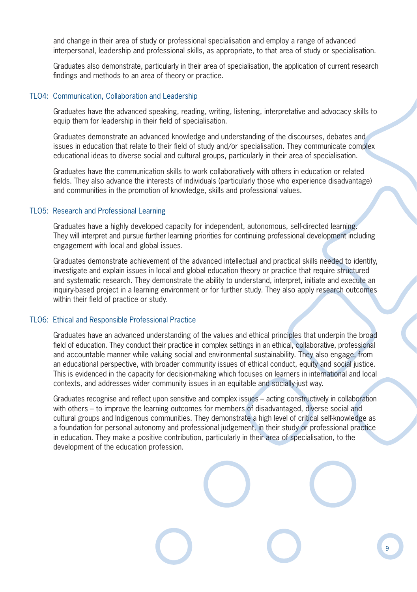and change in their area of study or professional specialisation and employ a range of advanced interpersonal, leadership and professional skills, as appropriate, to that area of study or specialisation.

Graduates also demonstrate, particularly in their area of specialisation, the application of current research findings and methods to an area of theory or practice.

#### TLO4: Communication, Collaboration and Leadership

Graduates have the advanced speaking, reading, writing, listening, interpretative and advocacy skills to equip them for leadership in their field of specialisation.

Graduates demonstrate an advanced knowledge and understanding of the discourses, debates and issues in education that relate to their field of study and/or specialisation. They communicate complex educational ideas to diverse social and cultural groups, particularly in their area of specialisation.

Graduates have the communication skills to work collaboratively with others in education or related fields. They also advance the interests of individuals (particularly those who experience disadvantage) and communities in the promotion of knowledge, skills and professional values.

#### TLO5: Research and Professional Learning

Graduates have a highly developed capacity for independent, autonomous, self-directed learning. They will interpret and pursue further learning priorities for continuing professional development including engagement with local and global issues.

Graduates demonstrate achievement of the advanced intellectual and practical skills needed to identify, investigate and explain issues in local and global education theory or practice that require structured and systematic research. They demonstrate the ability to understand, interpret, initiate and execute an inquiry-based project in a learning environment or for further study. They also apply research outcomes within their field of practice or study.

#### TLO6: Ethical and Responsible Professional Practice

Graduates have an advanced understanding of the values and ethical principles that underpin the broad field of education. They conduct their practice in complex settings in an ethical, collaborative, professional and accountable manner while valuing social and environmental sustainability. They also engage, from an educational perspective, with broader community issues of ethical conduct, equity and social justice. This is evidenced in the capacity for decision-making which focuses on learners in international and local contexts, and addresses wider community issues in an equitable and socially-just way.

Graduates recognise and reflect upon sensitive and complex issues – acting constructively in collaboration with others – to improve the learning outcomes for members of disadvantaged, diverse social and cultural groups and Indigenous communities. They demonstrate a high level of critical self-knowledge as a foundation for personal autonomy and professional judgement, in their study or professional practice in education. They make a positive contribution, particularly in their area of specialisation, to the development of the education profession.

9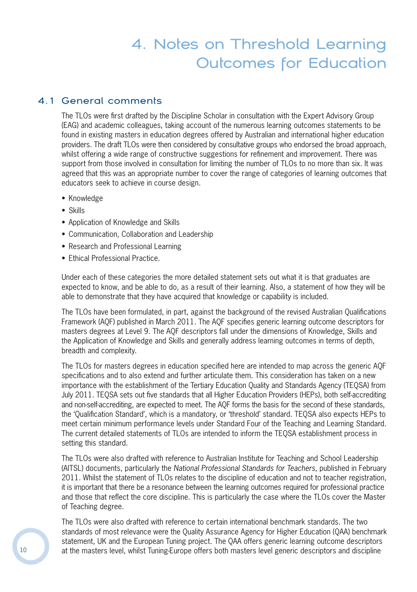## 4. Notes on Threshold Learning Outcomes for Education

## 4.1 General comments

The TLOs were first drafted by the Discipline Scholar in consultation with the Expert Advisory Group (EAG) and academic colleagues, taking account of the numerous learning outcomes statements to be found in existing masters in education degrees offered by Australian and international higher education providers. The draft TLOs were then considered by consultative groups who endorsed the broad approach, whilst offering a wide range of constructive suggestions for refinement and improvement. There was support from those involved in consultation for limiting the number of TLOs to no more than six. It was agreed that this was an appropriate number to cover the range of categories of learning outcomes that educators seek to achieve in course design.

- Knowledge
- Skills
- Application of Knowledge and Skills
- Communication, Collaboration and Leadership
- Research and Professional Learning
- Ethical Professional Practice.

Under each of these categories the more detailed statement sets out what it is that graduates are expected to know, and be able to do, as a result of their learning. Also, a statement of how they will be able to demonstrate that they have acquired that knowledge or capability is included.

The TLOs have been formulated, in part, against the background of the revised Australian Qualifications Framework (AQF) published in March 2011. The AQF specifies generic learning outcome descriptors for masters degrees at Level 9. The AQF descriptors fall under the dimensions of Knowledge, Skills and the Application of Knowledge and Skills and generally address learning outcomes in terms of depth, breadth and complexity.

The TLOs for masters degrees in education specified here are intended to map across the generic AOF specifications and to also extend and further articulate them. This consideration has taken on a new importance with the establishment of the Tertiary Education Quality and Standards Agency (TEQSA) from July 2011. TEQSA sets out five standards that all Higher Education Providers (HEPs), both self-accrediting and non-self-accrediting, are expected to meet. The AQF forms the basis for the second of these standards, the 'Qualification Standard', which is a mandatory, or 'threshold' standard. TEQSA also expects HEPs to meet certain minimum performance levels under Standard Four of the Teaching and Learning Standard. The current detailed statements of TLOs are intended to inform the TEQSA establishment process in setting this standard.

The TLOs were also drafted with reference to Australian Institute for Teaching and School Leadership (AITSL) documents, particularly the National Professional Standards for Teachers, published in February 2011. Whilst the statement of TLOs relates to the discipline of education and not to teacher registration, it is important that there be a resonance between the learning outcomes required for professional practice and those that reflect the core discipline. This is particularly the case where the TLOs cover the Master of Teaching degree.

The TLOs were also drafted with reference to certain international benchmark standards. The two standards of most relevance were the Quality Assurance Agency for Higher Education (QAA) benchmark statement, UK and the European Tuning project. The QAA offers generic learning outcome descriptors at the masters level, whilst Tuning-Europe offers both masters level generic descriptors and discipline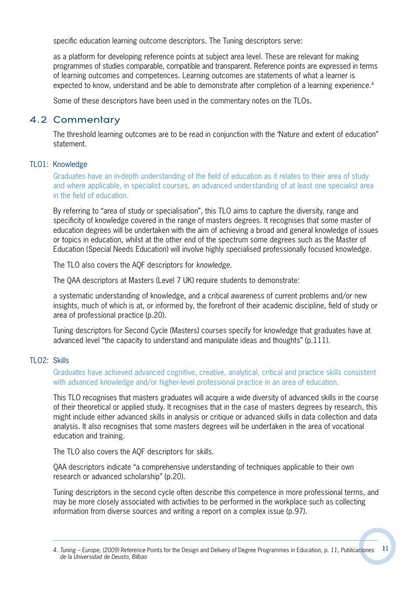specific education learning outcome descriptors. The Tuning descriptors serve:

as a platform for developing reference points at subject area level. These are relevant for making programmes of studies comparable, compatible and transparent. Reference points are expressed in terms of learning outcomes and competences. Learning outcomes are statements of what a learner is expected to know, understand and be able to demonstrate after completion of a learning experience.<sup>4</sup>

Some of these descriptors have been used in the commentary notes on the TLOs.

## 4.2 Commentary

The threshold learning outcomes are to be read in conjunction with the 'Nature and extent of education" statement.

#### TLO1: Knowledge

Graduates have an in-depth understanding of the field of education as it relates to their area of study and where applicable, in specialist courses, an advanced understanding of at least one specialist area in the field of education.

By referring to "area of study or specialisation", this TLO aims to capture the diversity, range and specificity of knowledge covered in the range of masters degrees. It recognises that some master of education degrees will be undertaken with the aim of achieving a broad and general knowledge of issues or topics in education, whilst at the other end of the spectrum some degrees such as the Master of Education (Special Needs Education) will involve highly specialised professionally focused knowledge.

The TLO also covers the AQF descriptors for knowledge.

The QAA descriptors at Masters (Level 7 UK) require students to demonstrate:

a systematic understanding of knowledge, and a critical awareness of current problems and/or new insights, much of which is at, or informed by, the forefront of their academic discipline, field of study or area of professional practice (p.20).

Tuning descriptors for Second Cycle (Masters) courses specify for knowledge that graduates have at advanced level "the capacity to understand and manipulate ideas and thoughts" (p.111).

#### TLO2: Skills

Graduates have achieved advanced cognitive, creative, analytical, critical and practice skills consistent with advanced knowledge and/or higher-level professional practice in an area of education.

This TLO recognises that masters graduates will acquire a wide diversity of advanced skills in the course of their theoretical or applied study. It recognises that in the case of masters degrees by research, this might include either advanced skills in analysis or critique or advanced skills in data collection and data analysis. It also recognises that some masters degrees will be undertaken in the area of vocational education and training.

The TLO also covers the AQF descriptors for skills.

QAA descriptors indicate "a comprehensive understanding of techniques applicable to their own research or advanced scholarship" (p.20).

Tuning descriptors in the second cycle often describe this competence in more professional terms, and may be more closely associated with activities to be performed in the workplace such as collecting information from diverse sources and writing a report on a complex issue (p.97).

<sup>11</sup> 4. Tuning – Europe, (2009) Reference Points for the Design and Delivery of Degree Programmes in Education, p. 11, Publicaciones de la Universidad de Deusto, Bilbao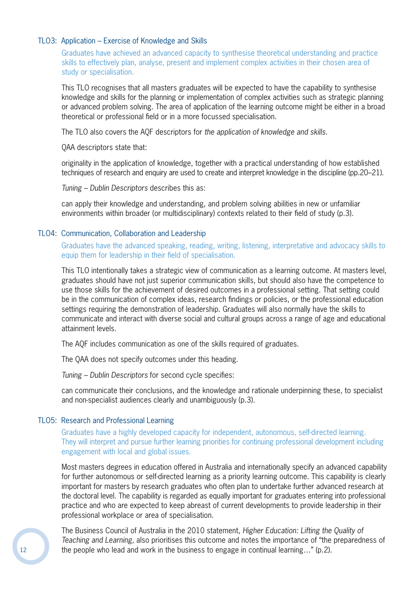#### TLO3: Application – Exercise of Knowledge and Skills

Graduates have achieved an advanced capacity to synthesise theoretical understanding and practice skills to effectively plan, analyse, present and implement complex activities in their chosen area of study or specialisation.

This TLO recognises that all masters graduates will be expected to have the capability to synthesise knowledge and skills for the planning or implementation of complex activities such as strategic planning or advanced problem solving. The area of application of the learning outcome might be either in a broad theoretical or professional field or in a more focussed specialisation.

The TLO also covers the AQF descriptors for the application of knowledge and skills.

QAA descriptors state that:

originality in the application of knowledge, together with a practical understanding of how established techniques of research and enquiry are used to create and interpret knowledge in the discipline (pp.20–21).

Tuning – Dublin Descriptors describes this as:

can apply their knowledge and understanding, and problem solving abilities in new or unfamiliar environments within broader (or multidisciplinary) contexts related to their field of study  $(p.3)$ .

#### TLO4: Communication, Collaboration and Leadership

Graduates have the advanced speaking, reading, writing, listening, interpretative and advocacy skills to equip them for leadership in their field of specialisation.

This TLO intentionally takes a strategic view of communication as a learning outcome. At masters level, graduates should have not just superior communication skills, but should also have the competence to use those skills for the achievement of desired outcomes in a professional setting. That setting could be in the communication of complex ideas, research findings or policies, or the professional education settings requiring the demonstration of leadership. Graduates will also normally have the skills to communicate and interact with diverse social and cultural groups across a range of age and educational attainment levels.

The AQF includes communication as one of the skills required of graduates.

The QAA does not specify outcomes under this heading.

Tuning – Dublin Descriptors for second cycle specifies:

can communicate their conclusions, and the knowledge and rationale underpinning these, to specialist and non-specialist audiences clearly and unambiguously (p.3).

#### TLO5: Research and Professional Learning

Graduates have a highly developed capacity for independent, autonomous, self-directed learning. They will interpret and pursue further learning priorities for continuing professional development including engagement with local and global issues.

Most masters degrees in education offered in Australia and internationally specify an advanced capability for further autonomous or self-directed learning as a priority learning outcome. This capability is clearly important for masters by research graduates who often plan to undertake further advanced research at the doctoral level. The capability is regarded as equally important for graduates entering into professional practice and who are expected to keep abreast of current developments to provide leadership in their professional workplace or area of specialisation.

The Business Council of Australia in the 2010 statement, Higher Education: Lifting the Quality of Teaching and Learning, also prioritises this outcome and notes the importance of "the preparedness of the people who lead and work in the business to engage in continual learning…" (p.2).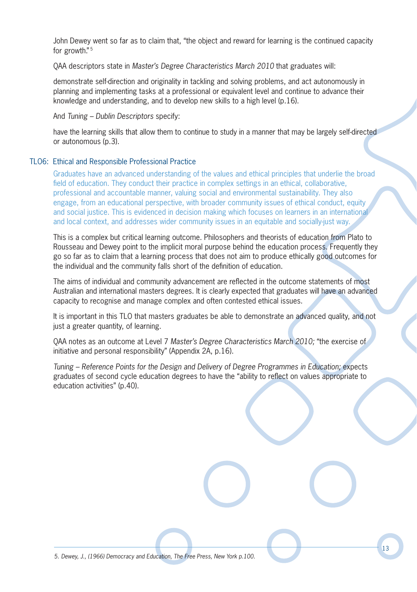John Dewey went so far as to claim that, "the object and reward for learning is the continued capacity for growth."<sup>5</sup>

QAA descriptors state in Master's Degree Characteristics March 2010 that graduates will:

demonstrate self-direction and originality in tackling and solving problems, and act autonomously in planning and implementing tasks at a professional or equivalent level and continue to advance their knowledge and understanding, and to develop new skills to a high level (p.16).

And Tuning – Dublin Descriptors specify:

have the learning skills that allow them to continue to study in a manner that may be largely self-directed or autonomous (p.3).

#### TLO6: Ethical and Responsible Professional Practice

Graduates have an advanced understanding of the values and ethical principles that underlie the broad field of education. They conduct their practice in complex settings in an ethical, collaborative, professional and accountable manner, valuing social and environmental sustainability. They also engage, from an educational perspective, with broader community issues of ethical conduct, equity and social justice. This is evidenced in decision making which focuses on learners in an international and local context, and addresses wider community issues in an equitable and socially-just way.

This is a complex but critical learning outcome. Philosophers and theorists of education from Plato to Rousseau and Dewey point to the implicit moral purpose behind the education process. Frequently they go so far as to claim that a learning process that does not aim to produce ethically good outcomes for the individual and the community falls short of the definition of education.

The aims of individual and community advancement are reflected in the outcome statements of most Australian and international masters degrees. It is clearly expected that graduates will have an advanced capacity to recognise and manage complex and often contested ethical issues.

It is important in this TLO that masters graduates be able to demonstrate an advanced quality, and not just a greater quantity, of learning.

QAA notes as an outcome at Level 7 Master's Degree Characteristics March 2010; "the exercise of initiative and personal responsibility" (Appendix 2A, p.16).

Tuning – Reference Points for the Design and Delivery of Degree Programmes in Education; expects graduates of second cycle education degrees to have the "ability to reflect on values appropriate to education activities" (p.40).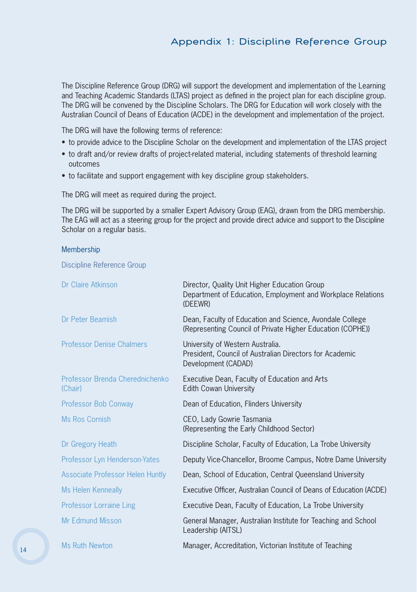## Appendix 1: Discipline Reference Group

The Discipline Reference Group (DRG) will support the development and implementation of the Learning and Teaching Academic Standards (LTAS) project as defined in the project plan for each discipline group. The DRG will be convened by the Discipline Scholars. The DRG for Education will work closely with the Australian Council of Deans of Education (ACDE) in the development and implementation of the project.

The DRG will have the following terms of reference:

- to provide advice to the Discipline Scholar on the development and implementation of the LTAS project
- to draft and/or review drafts of project-related material, including statements of threshold learning outcomes
- to facilitate and support engagement with key discipline group stakeholders.

The DRG will meet as required during the project.

The DRG will be supported by a smaller Expert Advisory Group (EAG), drawn from the DRG membership. The EAG will act as a steering group for the project and provide direct advice and support to the Discipline Scholar on a regular basis.

#### Membership

Discipline Reference Group

| Dr Claire Atkinson                         | Director, Quality Unit Higher Education Group<br>Department of Education, Employment and Workplace Relations<br>(DEEWR) |
|--------------------------------------------|-------------------------------------------------------------------------------------------------------------------------|
| Dr Peter Beamish                           | Dean, Faculty of Education and Science, Avondale College<br>(Representing Council of Private Higher Education (COPHE))  |
| <b>Professor Denise Chalmers</b>           | University of Western Australia.<br>President, Council of Australian Directors for Academic<br>Development (CADAD)      |
| Professor Brenda Cherednichenko<br>(Chair) | Executive Dean, Faculty of Education and Arts<br><b>Edith Cowan University</b>                                          |
| Professor Bob Conway                       | Dean of Education, Flinders University                                                                                  |
| Ms Ros Cornish                             | CEO, Lady Gowrie Tasmania<br>(Representing the Early Childhood Sector)                                                  |
| Dr Gregory Heath                           | Discipline Scholar, Faculty of Education, La Trobe University                                                           |
| Professor Lyn Henderson-Yates              | Deputy Vice-Chancellor, Broome Campus, Notre Dame University                                                            |
| <b>Associate Professor Helen Huntly</b>    | Dean, School of Education, Central Queensland University                                                                |
| <b>Ms Helen Kenneally</b>                  | Executive Officer, Australian Council of Deans of Education (ACDE)                                                      |
| <b>Professor Lorraine Ling</b>             | Executive Dean, Faculty of Education, La Trobe University                                                               |
| <b>Mr Edmund Misson</b>                    | General Manager, Australian Institute for Teaching and School<br>Leadership (AITSL)                                     |
| Ms Ruth Newton                             | Manager, Accreditation, Victorian Institute of Teaching                                                                 |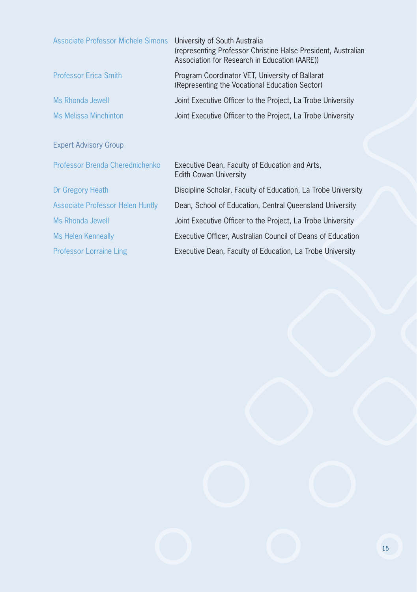| Associate Professor Michele Simons      | University of South Australia<br>(representing Professor Christine Halse President, Australian<br>Association for Research in Education (AARE)) |
|-----------------------------------------|-------------------------------------------------------------------------------------------------------------------------------------------------|
| <b>Professor Erica Smith</b>            | Program Coordinator VET, University of Ballarat<br>(Representing the Vocational Education Sector)                                               |
| Ms Rhonda Jewell                        | Joint Executive Officer to the Project, La Trobe University                                                                                     |
| <b>Ms Melissa Minchinton</b>            | Joint Executive Officer to the Project, La Trobe University                                                                                     |
|                                         |                                                                                                                                                 |
| <b>Expert Advisory Group</b>            |                                                                                                                                                 |
| Professor Brenda Cherednichenko         | Executive Dean, Faculty of Education and Arts,<br>Edith Cowan University                                                                        |
| Dr Gregory Heath                        | Discipline Scholar, Faculty of Education, La Trobe University                                                                                   |
| <b>Associate Professor Helen Huntly</b> | Dean, School of Education, Central Queensland University                                                                                        |
| Ms Rhonda Jewell                        | Joint Executive Officer to the Project, La Trobe University                                                                                     |
| Ms Helen Kenneally                      | Executive Officer, Australian Council of Deans of Education                                                                                     |
| <b>Professor Lorraine Ling</b>          | Executive Dean, Faculty of Education, La Trobe University                                                                                       |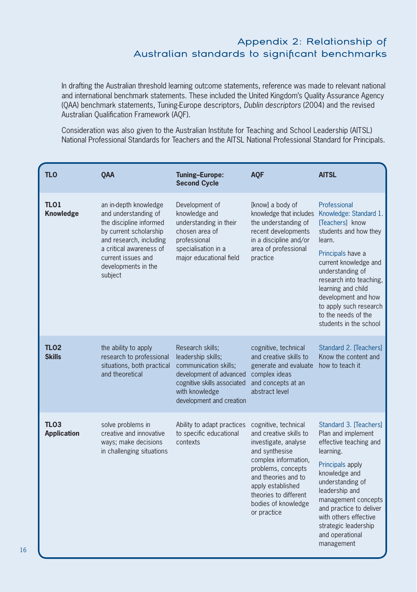## Appendix 2: Relationship of Australian standards to significant benchmarks

In drafting the Australian threshold learning outcome statements, reference was made to relevant national and international benchmark statements. These included the United Kingdom's Quality Assurance Agency (QAA) benchmark statements, Tuning-Europe descriptors, Dublin descriptors (2004) and the revised Australian Qualification Framework (AQF).

Consideration was also given to the Australian Institute for Teaching and School Leadership (AITSL) National Professional Standards for Teachers and the AITSL National Professional Standard for Principals.

| <b>TLO</b>                                                                                                                             | QAA                                                                                                                                                                                                              | <b>Tuning-Europe:</b><br><b>Second Cycle</b>                                                                                                                            | <b>AQF</b>                                                                                                                                                                                                                                        | <b>AITSL</b>                                                                                                                                                                                                                                                                                                      |
|----------------------------------------------------------------------------------------------------------------------------------------|------------------------------------------------------------------------------------------------------------------------------------------------------------------------------------------------------------------|-------------------------------------------------------------------------------------------------------------------------------------------------------------------------|---------------------------------------------------------------------------------------------------------------------------------------------------------------------------------------------------------------------------------------------------|-------------------------------------------------------------------------------------------------------------------------------------------------------------------------------------------------------------------------------------------------------------------------------------------------------------------|
| <b>TLO1</b><br><b>Knowledge</b>                                                                                                        | an in-depth knowledge<br>and understanding of<br>the discipline informed<br>by current scholarship<br>and research, including<br>a critical awareness of<br>current issues and<br>developments in the<br>subject | Development of<br>knowledge and<br>understanding in their<br>chosen area of<br>professional<br>specialisation in a<br>major educational field                           | [know] a body of<br>knowledge that includes<br>the understanding of<br>recent developments<br>in a discipline and/or<br>area of professional<br>practice                                                                                          | Professional<br>Knowledge: Standard 1.<br>[Teachers] know<br>students and how they<br>learn.<br>Principals have a<br>current knowledge and<br>understanding of<br>research into teaching,<br>learning and child<br>development and how<br>to apply such research<br>to the needs of the<br>students in the school |
| <b>TLO2</b><br><b>Skills</b>                                                                                                           | the ability to apply<br>research to professional<br>situations, both practical<br>and theoretical                                                                                                                | Research skills:<br>leadership skills;<br>communication skills;<br>development of advanced<br>cognitive skills associated<br>with knowledge<br>development and creation | cognitive, technical<br>and creative skills to<br>generate and evaluate<br>complex ideas<br>and concepts at an<br>abstract level                                                                                                                  | Standard 2. Teachersl<br>Know the content and<br>how to teach it                                                                                                                                                                                                                                                  |
| <b>TLO3</b><br>solve problems in<br>creative and innovative<br><b>Application</b><br>ways; make decisions<br>in challenging situations |                                                                                                                                                                                                                  | Ability to adapt practices<br>to specific educational<br>contexts                                                                                                       | cognitive, technical<br>and creative skills to<br>investigate, analyse<br>and synthesise<br>complex information,<br>problems, concepts<br>and theories and to<br>apply established<br>theories to different<br>bodies of knowledge<br>or practice | Standard 3. Teachers1<br>Plan and implement<br>effective teaching and<br>learning.<br>Principals apply<br>knowledge and<br>understanding of<br>leadership and<br>management concepts<br>and practice to deliver<br>with others effective<br>strategic leadership<br>and operational<br>management                 |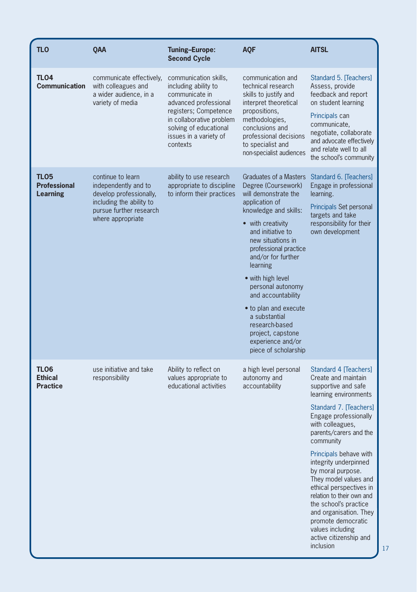| <b>TLO</b>                                     | QAA                                                                                                                                              | <b>Tuning-Europe:</b><br><b>Second Cycle</b>                                                                                                                                                                  | <b>AOF</b>                                                                                                                                                                                                                                                                                                                                                                                                                               | <b>AITSL</b>                                                                                                                                                                                                                                                                                                                                                                                                                                                                                                |
|------------------------------------------------|--------------------------------------------------------------------------------------------------------------------------------------------------|---------------------------------------------------------------------------------------------------------------------------------------------------------------------------------------------------------------|------------------------------------------------------------------------------------------------------------------------------------------------------------------------------------------------------------------------------------------------------------------------------------------------------------------------------------------------------------------------------------------------------------------------------------------|-------------------------------------------------------------------------------------------------------------------------------------------------------------------------------------------------------------------------------------------------------------------------------------------------------------------------------------------------------------------------------------------------------------------------------------------------------------------------------------------------------------|
| <b>TLO4</b><br><b>Communication</b>            | communicate effectively,<br>with colleagues and<br>a wider audience, in a<br>variety of media                                                    | communication skills,<br>including ability to<br>communicate in<br>advanced professional<br>registers; Competence<br>in collaborative problem<br>solving of educational<br>issues in a variety of<br>contexts | communication and<br>technical research<br>skills to justify and<br>interpret theoretical<br>propositions,<br>methodologies,<br>conclusions and<br>professional decisions<br>to specialist and<br>non-specialist audiences                                                                                                                                                                                                               | Standard 5. [Teachers]<br>Assess, provide<br>feedback and report<br>on student learning<br>Principals can<br>communicate,<br>negotiate, collaborate<br>and advocate effectively<br>and relate well to all<br>the school's community                                                                                                                                                                                                                                                                         |
| TLO5<br><b>Professional</b><br><b>Learning</b> | continue to learn<br>independently and to<br>develop professionally,<br>including the ability to<br>pursue further research<br>where appropriate | ability to use research<br>appropriate to discipline<br>to inform their practices                                                                                                                             | Graduates of a Masters<br>Degree (Coursework)<br>will demonstrate the<br>application of<br>knowledge and skills:<br>• with creativity<br>and initiative to<br>new situations in<br>professional practice<br>and/or for further<br>learning<br>• with high level<br>personal autonomy<br>and accountability<br>• to plan and execute<br>a substantial<br>research-based<br>project, capstone<br>experience and/or<br>piece of scholarship | Standard 6. [Teachers]<br>Engage in professional<br>learning.<br>Principals Set personal<br>targets and take<br>responsibility for their<br>own development                                                                                                                                                                                                                                                                                                                                                 |
| TLO6<br><b>Ethical</b><br><b>Practice</b>      | use initiative and take<br>responsibility                                                                                                        | Ability to reflect on<br>values appropriate to<br>educational activities                                                                                                                                      | a high level personal<br>autonomy and<br>accountability                                                                                                                                                                                                                                                                                                                                                                                  | Standard 4 Teachers<br>Create and maintain<br>supportive and safe<br>learning environments<br>Standard 7. Teachersl<br>Engage professionally<br>with colleagues,<br>parents/carers and the<br>community<br>Principals behave with<br>integrity underpinned<br>by moral purpose.<br>They model values and<br>ethical perspectives in<br>relation to their own and<br>the school's practice<br>and organisation. They<br>promote democratic<br>values including<br>active citizenship and<br><i>inclusion</i> |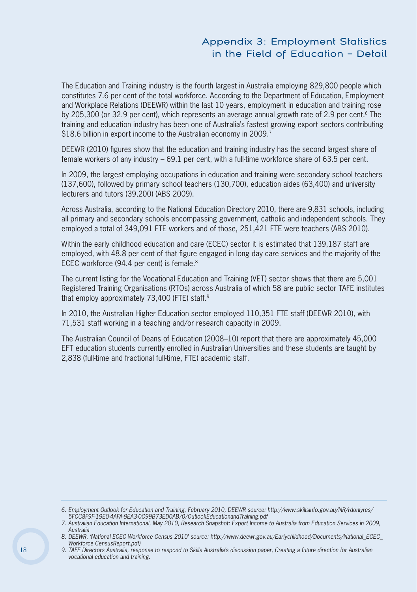## Appendix 3: Employment Statistics in the Field of Education – Detail

The Education and Training industry is the fourth largest in Australia employing 829,800 people which constitutes 7.6 per cent of the total workforce. According to the Department of Education, Employment and Workplace Relations (DEEWR) within the last 10 years, employment in education and training rose by 205,300 (or 32.9 per cent), which represents an average annual growth rate of 2.9 per cent.<sup>6</sup> The training and education industry has been one of Australia's fastest growing export sectors contributing \$18.6 billion in export income to the Australian economy in 2009.<sup>7</sup>

DEEWR (2010) figures show that the education and training industry has the second largest share of female workers of any industry – 69.1 per cent, with a full-time workforce share of 63.5 per cent.

In 2009, the largest employing occupations in education and training were secondary school teachers (137,600), followed by primary school teachers (130,700), education aides (63,400) and university lecturers and tutors (39,200) (ABS 2009).

Across Australia, according to the National Education Directory 2010, there are 9,831 schools, including all primary and secondary schools encompassing government, catholic and independent schools. They employed a total of 349,091 FTE workers and of those, 251,421 FTE were teachers (ABS 2010).

Within the early childhood education and care (ECEC) sector it is estimated that 139,187 staff are employed, with 48.8 per cent of that figure engaged in long day care services and the majority of the ECEC workforce (94.4 per cent) is female.<sup>8</sup>

The current listing for the Vocational Education and Training (VET) sector shows that there are 5,001 Registered Training Organisations (RTOs) across Australia of which 58 are public sector TAFE institutes that employ approximately 73,400 (FTE) staff.<sup>9</sup>

In 2010, the Australian Higher Education sector employed 110,351 FTE staff (DEEWR 2010), with 71,531 staff working in a teaching and/or research capacity in 2009.

The Australian Council of Deans of Education (2008–10) report that there are approximately 45,000 EFT education students currently enrolled in Australian Universities and these students are taught by 2,838 (full-time and fractional full-time, FTE) academic staff.

<sup>6.</sup> Employment Outlook for Education and Training, February 2010, DEEWR source: http://www.skillsinfo.gov.au/NR/rdonlyres/ 5FCC8F9F-19E0-4AFA-9EA3-0C99B73ED0AB/0/OutlookEducationandTraining.pdf

<sup>7.</sup> Australian Education International, May 2010, Research Snapshot: Export Income to Australia from Education Services in 2009, Australia

<sup>8.</sup> DEEWR, 'National ECEC Workforce Census 2010' source: http://www.deewr.gov.au/Earlychildhood/Documents/National ECEC Workforce CensusReport.pdf)

<sup>9.</sup> TAFE Directors Australia, response to respond to Skills Australia's discussion paper, Creating a future direction for Australian vocational education and training.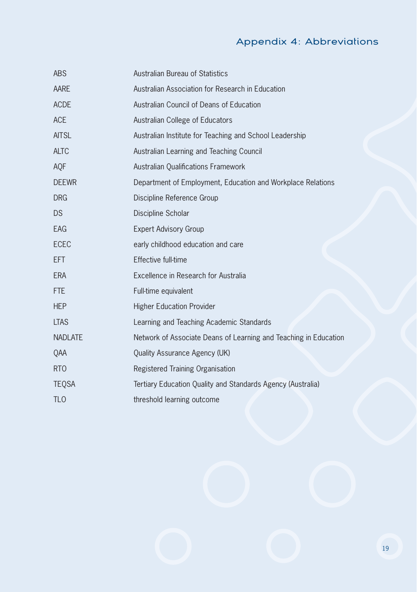## Appendix 4: Abbreviations

| <b>ABS</b>       | Australian Bureau of Statistics                                  |
|------------------|------------------------------------------------------------------|
| AARE             | Australian Association for Research in Education                 |
| <b>ACDE</b>      | Australian Council of Deans of Education                         |
| <b>ACE</b>       | Australian College of Educators                                  |
| <b>AITSL</b>     | Australian Institute for Teaching and School Leadership          |
| <b>ALTC</b>      | Australian Learning and Teaching Council                         |
| AQF              | <b>Australian Qualifications Framework</b>                       |
| <b>DEEWR</b>     | Department of Employment, Education and Workplace Relations      |
| <b>DRG</b>       | Discipline Reference Group                                       |
| <b>DS</b>        | Discipline Scholar                                               |
| EAG              | <b>Expert Advisory Group</b>                                     |
| <b>ECEC</b>      | early childhood education and care                               |
| <b>EFT</b>       | Effective full-time                                              |
| <b>ERA</b>       | Excellence in Research for Australia                             |
| <b>FTE</b>       | Full-time equivalent                                             |
| <b>HEP</b>       | <b>Higher Education Provider</b>                                 |
| <b>LTAS</b>      | Learning and Teaching Academic Standards                         |
| <b>NADLATE</b>   | Network of Associate Deans of Learning and Teaching in Education |
| QAA              | Quality Assurance Agency (UK)                                    |
| R <sub>T</sub> O | Registered Training Organisation                                 |
| <b>TEQSA</b>     | Tertiary Education Quality and Standards Agency (Australia)      |
| <b>TLO</b>       | threshold learning outcome                                       |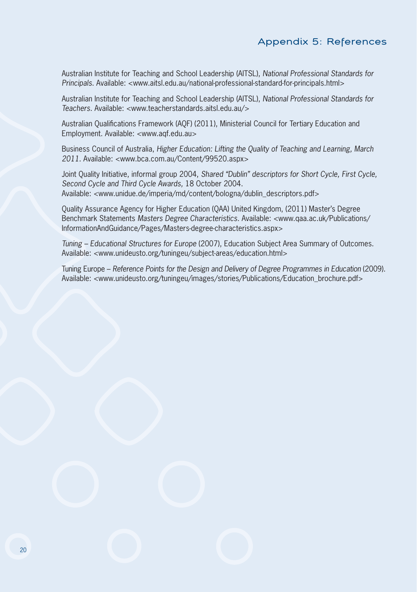Australian Institute for Teaching and School Leadership (AITSL), National Professional Standards for Principals. Available: <www.aitsl.edu.au/national-professional-standard-for-principals.html>

Australian Institute for Teaching and School Leadership (AITSL), National Professional Standards for Teachers. Available: <www.teacherstandards.aitsl.edu.au/>

Australian Qualifications Framework (AQF) (2011), Ministerial Council for Tertiary Education and Employment. Available: <www.aqf.edu.au>

Business Council of Australia, Higher Education: Lifting the Quality of Teaching and Learning, March 2011. Available: <www.bca.com.au/Content/99520.aspx>

Joint Quality Initiative, informal group 2004, Shared "Dublin" descriptors for Short Cycle, First Cycle, Second Cycle and Third Cycle Awards, 18 October 2004. Available: <www.unidue.de/imperia/md/content/bologna/dublin\_descriptors.pdf>

Quality Assurance Agency for Higher Education (QAA) United Kingdom, (2011) Master's Degree Benchmark Statements Masters Degree Characteristics. Available: <www.qaa.ac.uk/Publications/ InformationAndGuidance/Pages/Masters-degree-characteristics.aspx>

Tuning – Educational Structures for Europe (2007), Education Subject Area Summary of Outcomes. Available: <www.unideusto.org/tuningeu/subject-areas/education.html>

Tuning Europe – Reference Points for the Design and Delivery of Degree Programmes in Education (2009). Available: <www.unideusto.org/tuningeu/images/stories/Publications/Education\_brochure.pdf>